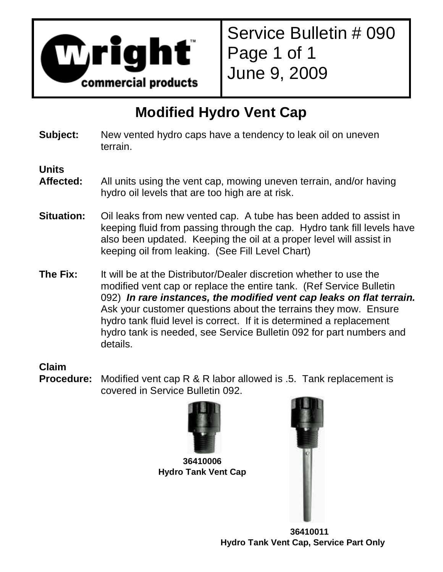

Service Bulletin # 090 Page 1 of 1 June 9, 2009

## **Modified Hydro Vent Cap**

**Subject:** New vented hydro caps have a tendency to leak oil on uneven terrain.

**Units** 

- **Affected:** All units using the vent cap, mowing uneven terrain, and/or having hydro oil levels that are too high are at risk.
- **Situation:** Oil leaks from new vented cap. A tube has been added to assist in keeping fluid from passing through the cap. Hydro tank fill levels have also been updated. Keeping the oil at a proper level will assist in keeping oil from leaking. (See Fill Level Chart)
- **The Fix:** It will be at the Distributor/Dealer discretion whether to use the modified vent cap or replace the entire tank. (Ref Service Bulletin 092) **In rare instances, the modified vent cap leaks on flat terrain.** Ask your customer questions about the terrains they mow. Ensure hydro tank fluid level is correct. If it is determined a replacement hydro tank is needed, see Service Bulletin 092 for part numbers and details.

**Claim** 

**Procedure:** Modified vent cap R & R labor allowed is .5. Tank replacement is covered in Service Bulletin 092.



**36410006 Hydro Tank Vent Cap** 



 **36410011 Hydro Tank Vent Cap, Service Part Only**